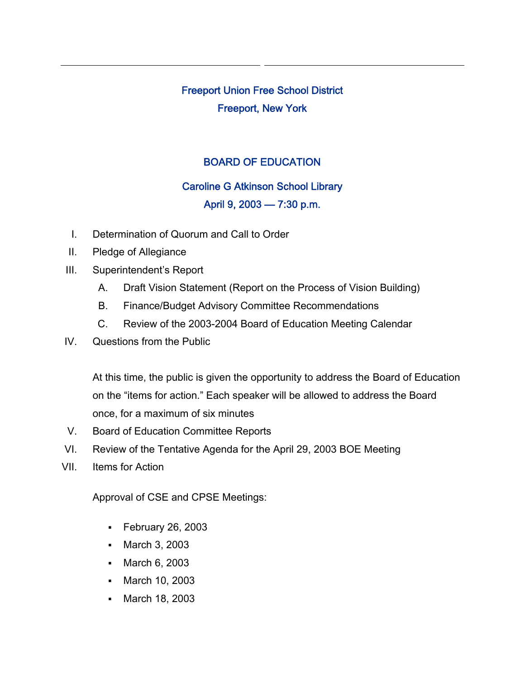# Freeport Union Free School District Freeport, New York

## BOARD OF EDUCATION

### Caroline G Atkinson School Library

### April 9, 2003 — 7:30 p.m.

- I. Determination of Quorum and Call to Order
- II. Pledge of Allegiance
- III. Superintendent's Report
	- A. Draft Vision Statement (Report on the Process of Vision Building)
	- B. Finance/Budget Advisory Committee Recommendations
	- C. Review of the 2003-2004 Board of Education Meeting Calendar
- IV. Questions from the Public

At this time, the public is given the opportunity to address the Board of Education on the "items for action." Each speaker will be allowed to address the Board once, for a maximum of six minutes

- V. Board of Education Committee Reports
- VI. Review of the Tentative Agenda for the April 29, 2003 BOE Meeting
- VII. Items for Action

Approval of CSE and CPSE Meetings:

- February 26, 2003
- March 3, 2003
- March 6, 2003
- March 10, 2003
- March 18, 2003